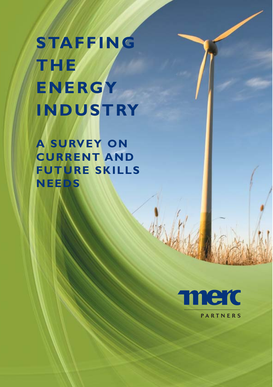**STAFFING THE ENERGY INDUSTRY**

**A SURVEY ON CURRENT AND FUTURE SKILLS NEEDS**

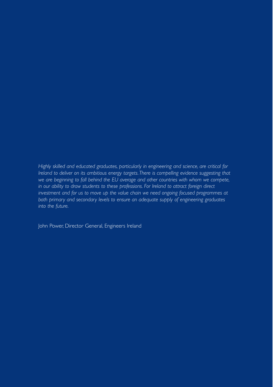*Highly skilled and educated graduates, particularly in engineering and science, are critical for Ireland to deliver on its ambitious energy targets.There is compelling evidence suggesting that we are beginning to fall behind the EU average and other countries with whom we compete, in our ability to draw students to these professions. For Ireland to attract foreign direct investment and for us to move up the value chain we need ongoing focused programmes at both primary and secondary levels to ensure an adequate supply of engineering graduates into the future.*

John Power, Director General, Engineers Ireland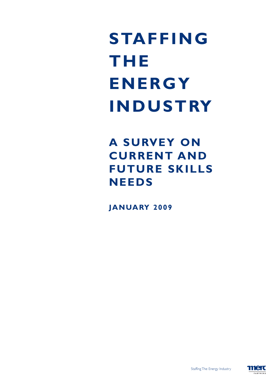**STAFFING THE ENERGY INDUSTRY**

**A SURVEY ON CURRENT AND FUTURE SKILLS NEEDS**

**JANUARY 2009**

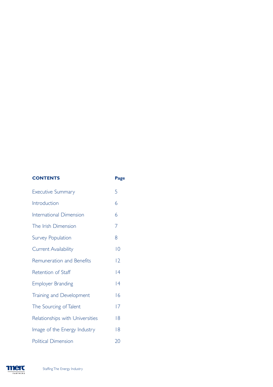#### **CONTENTS Page**

| <b>Executive Summary</b>        | 5              |
|---------------------------------|----------------|
| Introduction                    | 6              |
| International Dimension         | 6              |
| The Irish Dimension             | 7              |
| <b>Survey Population</b>        | 8              |
| <b>Current Availability</b>     | $\overline{0}$ |
| Remuneration and Benefits       | 2              |
| Retention of Staff              | 4              |
| <b>Employer Branding</b>        | 4              |
| Training and Development        | 16             |
| The Sourcing of Talent          | 7              |
| Relationships with Universities | 8              |
| Image of the Energy Industry    | 18             |
| <b>Political Dimension</b>      | 20             |

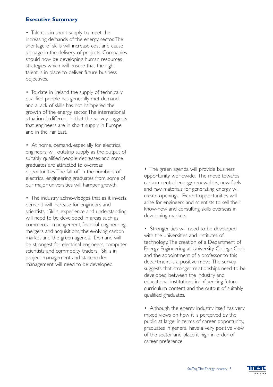### **Executive Summary**

• Talent is in short supply to meet the increasing demands of the energy sector.The shortage of skills will increase cost and cause slippage in the delivery of projects. Companies should now be developing human resources strategies which will ensure that the right talent is in place to deliver future business objectives.

• To date in Ireland the supply of technically qualified people has generally met demand and a lack of skills has not hampered the growth of the energy sector.The international situation is different in that the survey suggests that engineers are in short supply in Europe and in the Far East.

• At home, demand, especially for electrical engineers, will outstrip supply as the output of suitably qualified people decreases and some graduates are attracted to overseas opportunities.The fall-off in the numbers of electrical engineering graduates from some of our major universities will hamper growth.

• The industry acknowledges that as it invests, demand will increase for engineers and scientists. Skills, experience and understanding will need to be developed in areas such as commercial management, financial engineering, mergers and acquisitions, the evolving carbon market and the green agenda. Demand will be strongest for electrical engineers, computer scientists and commodity traders. Skills in project management and stakeholder management will need to be developed.

• The green agenda will provide business opportunity worldwide. The move towards carbon neutral energy, renewables, new fuels and raw materials for generating energy will create openings. Export opportunities will arise for engineers and scientists to sell their know-how and consulting skills overseas in developing markets.

• Stronger ties will need to be developed with the universities and institutes of technology.The creation of a Department of Energy Engineering at University College Cork and the appointment of a professor to this department is a positive move.The survey suggests that stronger relationships need to be developed between the industry and educational institutions in influencing future curriculum content and the output of suitably qualified graduates.

• Although the energy industry itself has very mixed views on how it is perceived by the public at large, in terms of career opportunity, graduates in general have a very positive view of the sector and place it high in order of career preference.

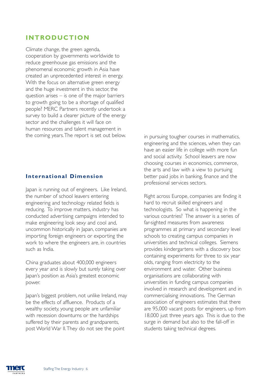# **INTRODUCTION**

Climate change, the green agenda, cooperation by governments worldwide to reduce greenhouse gas emissions and the phenomenal economic growth in Asia have created an unprecedented interest in energy. With the focus on alternative green energy and the huge investment in this sector, the question arises – is one of the major barriers to growth going to be a shortage of qualified people? MERC Partners recently undertook a survey to build a clearer picture of the energy sector and the challenges it will face on human resources and talent management in the coming years.The report is set out below.

## **International Dimension**

Japan is running out of engineers. Like Ireland, the number of school leavers entering engineering and technology related fields is reducing. To improve matters, industry has conducted advertising campaigns intended to make engineering look sexy and cool and, uncommon historically in Japan, companies are importing foreign engineers or exporting the work to where the engineers are, in countries such as India.

China graduates about 400,000 engineers every year and is slowly but surely taking over Japan's position as Asia's greatest economic power.

Japan's biggest problem, not unlike Ireland, may be the effects of affluence. Products of a wealthy society, young people are unfamiliar with recession downturns or the hardships suffered by their parents and grandparents, post World War II.They do not see the point

in pursuing tougher courses in mathematics, engineering and the sciences, when they can have an easier life in college with more fun and social activity. School leavers are now choosing courses in economics, commerce, the arts and law with a view to pursuing better paid jobs in banking, finance and the professional services sectors.

Right across Europe, companies are finding it hard to recruit skilled engineers and technologists. So what is happening in the various countries? The answer is a series of far-sighted measures from awareness programmes at primary and secondary level schools to creating campus companies in universities and technical colleges. Siemens provides kindergartens with a discovery box containing experiments for three to six year olds, ranging from electricity to the environment and water. Other business organisations are collaborating with universities in funding campus companies involved in research and development and in commercialising innovations. The German association of engineers estimates that there are 95,000 vacant posts for engineers, up from 18,000 just three years ago. This is due to the surge in demand but also to the fall-off in students taking technical degrees.

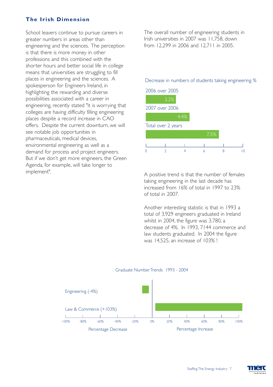# **The Irish Dimension**

School leavers continue to pursue careers in greater numbers in areas other than engineering and the sciences. The perception is that there is more money in other professions and this combined with the shorter hours and better social life in college means that universities are struggling to fill places in engineering and the sciences. A spokesperson for Engineers Ireland, in highlighting the rewarding and diverse possibilities associated with a career in engineering, recently stated "it is worrying that colleges are having difficulty filling engineering places despite a record increase in CAO offers. Despite the current downturn, we will see notable job opportunities in pharmaceuticals, medical devices, environmental engineering as well as a demand for process and project engineers. But if we don't get more engineers, the Green Agenda, for example, will take longer to implement".

The overall number of engineering students in Irish universities in 2007 was 11,758, down from 12,299 in 2006 and 12,711 in 2005.

#### Decrease in numbers of students taking engineering %



A positive trend is that the number of females taking engineering in the last decade has increased from 16% of total in 1997 to 23% of total in 2007.

Another interesting statistic is that in 1993 a total of 3,929 engineers graduated in Ireland whilst in 2004, the figure was 3,780, a decrease of 4%. In 1993, 7144 commerce and law students graduated. In 2004 the figure was 14,525, an increase of 103% !

#### Graduate Number Trends 1993 - 2004



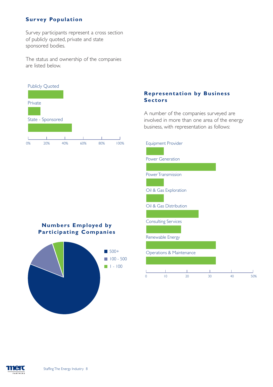# **Survey Population**

Survey participants represent a cross section of publicly quoted, private and state sponsored bodies.

The status and ownership of the companies are listed below.



## **Numbers Employed by Par ticipating Companies**



### **Representation by Business Sectors**

A number of the companies surveyed are involved in more than one area of the energy business, with representation as follows:



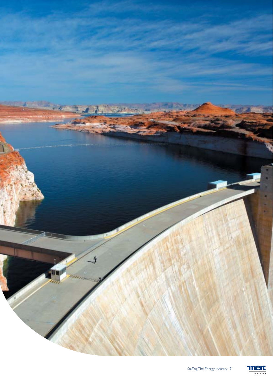

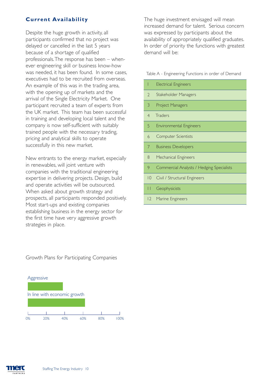# **Current Availability**

Despite the huge growth in activity, all participants confirmed that no project was delayed or cancelled in the last 5 years because of a shortage of qualified professionals.The response has been – whenever engineering skill or business know-how was needed, it has been found. In some cases, executives had to be recruited from overseas. An example of this was in the trading area, with the opening up of markets and the arrival of the Single Electricity Market. One participant recruited a team of experts from the UK market. This team has been successful in training and developing local talent and the company is now self-sufficient with suitably trained people with the necessary trading, pricing and analytical skills to operate successfully in this new market.

New entrants to the energy market, especially in renewables, will joint venture with companies with the traditional engineering expertise in delivering projects. Design, build and operate activities will be outsourced. When asked about growth strategy and prospects, all participants responded positively. Most start-ups and existing companies establishing business in the energy sector for the first time have very aggressive growth strategies in place.

The huge investment envisaged will mean increased demand for talent. Serious concern was expressed by participants about the availability of appropriately qualified graduates. In order of priority the functions with greatest demand will be:

#### Table A - Engineering Functions in order of Demand

| I              | <b>Electrical Engineers</b>               |
|----------------|-------------------------------------------|
| $\overline{2}$ | Stakeholder Managers                      |
| 3              | <b>Project Managers</b>                   |
| $\overline{4}$ | Traders                                   |
| 5              | <b>Environmental Engineers</b>            |
| 6              | <b>Computer Scientists</b>                |
| 7              | <b>Business Developers</b>                |
| 8              | <b>Mechanical Engineers</b>               |
| 9              | Commercial Analysts / Hedging Specialists |
|                |                                           |
| $\overline{0}$ | Civil / Structural Engineers              |
| П              | Geophysicists                             |





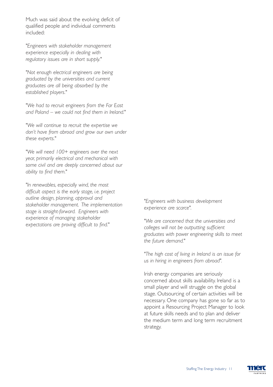Much was said about the evolving deficit of qualified people and individual comments included:

*"Engineers with stakeholder management experience especially in dealing with regulatory issues are in short supply."*

*"Not enough electrical engineers are being graduated by the universities and current graduates are all being absorbed by the established players."*

*"We had to recruit engineers from the Far East and Poland – we could not find them in Ireland."*

*"We will continue to recruit the expertise we don't have from abroad and grow our own under these experts."*

*"We will need 100+ engineers over the next year, primarily electrical and mechanical with some civil and are deeply concerned about our ability to find them."*

*"In renewables, especially wind, the most difficult aspect is the early stage, i.e. project outline design, planning, approval and stakeholder management. The implementation stage is straight-forward. Engineers with experience of managing stakeholder expectations are proving difficult to find."*

*"Engineers with business development experience are scarce".*

*"We are concerned that the universities and colleges will not be outputting sufficient graduates with power engineering skills to meet the future demand."*

*"The high cost of living in Ireland is an issue for us in hiring in engineers from abroad".*

Irish energy companies are seriously concerned about skills availability. Ireland is a small player and will struggle on the global stage. Outsourcing of certain activities will be necessary. One company has gone so far as to appoint a Resourcing Project Manager to look at future skills needs and to plan and deliver the medium term and long term recruitment strategy.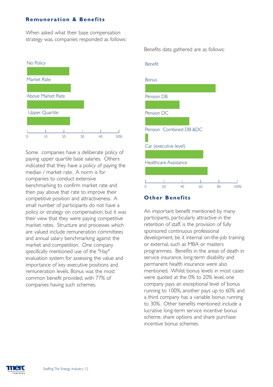### **Remuneration & Benefits**

When asked what their base compensation strategy was, companies responded as follows:



Some companies have a deliberate policy of paying upper quartile base salaries. Others indicated that they have a policy of paying the median / market rate. A norm is for companies to conduct extensive benchmarking to confirm market rate and then pay above that rate to improve their competitive position and attractiveness. A small number of participants do not have a policy or strategy on compensation, but it was their view that they were paying competitive market rates. Structure and processes which are valued include remuneration committees and annual salary benchmarking against the market and competition. One company specifically mentioned use of the "Hay" evaluation system for assessing the value and importance of key executive positions and remuneration levels. Bonus was the most common benefit provided, with 77% of companies having such schemes.

Benefits data gathered are as follows:



### **Other Benefits**

An important benefit mentioned by many participants, particularly attractive in the retention of staff, is the provision of fully sponsored continuous professional development, be it internal on-the-job training or external, such as MBA or masters programmes. Benefits in the areas of death in service insurance, long-term disability and permanent health insurance were also mentioned. Whilst bonus levels in most cases were quoted at the 0% to 20% level, one company pays an exceptional level of bonus running to 100%, another pays up to 60% and a third company has a variable bonus running to 30%. Other benefits mentioned include a lucrative long-term service incentive bonus scheme, share options and share purchase incentive bonus schemes.

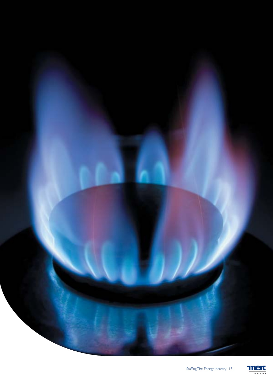

![](_page_12_Picture_2.jpeg)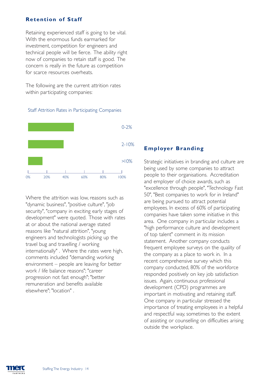### **Retention of Staff**

Retaining experienced staff is going to be vital. With the enormous funds earmarked for investment, competition for engineers and technical people will be fierce. The ability right now of companies to retain staff is good. The concern is really in the future as competition for scarce resources overheats.

The following are the current attrition rates within participating companies:

Staff Attrition Rates in Participating Companies

![](_page_13_Figure_4.jpeg)

Where the attrition was low, reasons such as "dynamic business", "positive culture", "job security", "company in exciting early stages of development" were quoted. Those with rates at or about the national average stated reasons like "natural attrition", "young engineers and technologists picking up the travel bug and travelling / working internationally" . Where the rates were high, comments included "demanding working environment – people are leaving for better work / life balance reasons"; "career progression not fast enough"; "better remuneration and benefits available elsewhere"; "location" .

## **Employer Branding**

Strategic initiatives in branding and culture are being used by some companies to attract people to their organisations. Accreditation and employer of choice awards, such as "excellence through people", "Technology Fast 50", "Best companies to work for in Ireland" are being pursued to attract potential employees. In excess of 60% of participating companies have taken some initiative in this area. One company in particular includes a "high performance culture and development of top talent" comment in its mission statement. Another company conducts frequent employee surveys on the quality of the company as a place to work in. In a recent comprehensive survey which this company conducted, 80% of the workforce responded positively on key job satisfaction issues. Again, continuous professional development (CPD) programmes are important in motivating and retaining staff. One company in particular stressed the importance of treating employees in a helpful and respectful way, sometimes to the extent of assisting or counselling on difficulties arising outside the workplace.

![](_page_13_Picture_8.jpeg)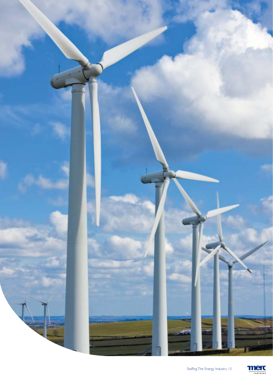![](_page_14_Picture_0.jpeg)

![](_page_14_Picture_2.jpeg)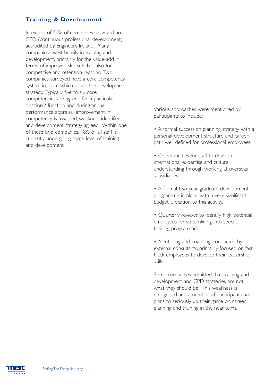# **Training & Development**

In excess of 50% of companies surveyed are CPD (continuous professional development) accredited by Engineers Ireland. Many companies invest heavily in training and development, primarily for the value-add in terms of improved skill sets but also for competitive and retention reasons. Two companies surveyed have a core competency system in place which drives the development strategy. Typically five to six core competencies are agreed for a particular position / function and during annual performance appraisal, improvement in competency is assessed, weakness identified and development strategy agreed. Within one of these two companies, 48% of all staff is currently undergoing some level of training and development.

Various approaches were mentioned by participants to include:

• A formal succession planning strategy, with a personal development structure and career path well defined for professional employees.

• Opportunities for staff to develop international expertise and cultural understanding through working at overseas subsidiaries.

• A formal two year graduate development programme in place, with a very significant budget allocation to this activity.

• Quarterly reviews to identify high potential employees for streamlining into specific training programmes.

• Mentoring and coaching, conducted by external consultants, primarily focused on fast track employees to develop their leadership skills.

Some companies admitted that training and development and CPD strategies are not what they should be. This weakness is recognised and a number of participants have plans to seriously up their game on career planning and training in the near term.

![](_page_15_Picture_9.jpeg)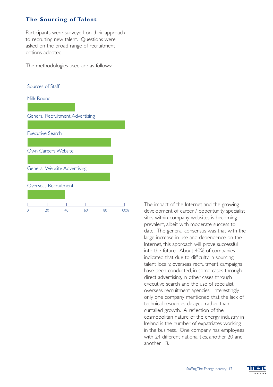# **The Sourcing of Talent**

Participants were surveyed on their approach to recruiting new talent. Questions were asked on the broad range of recruitment options adopted.

The methodologies used are as follows:

![](_page_16_Figure_3.jpeg)

The impact of the Internet and the growing development of career / opportunity specialist sites within company websites is becoming prevalent, albeit with moderate success to date. The general consensus was that with the large increase in use and dependence on the Internet, this approach will prove successful into the future. About 40% of companies indicated that due to difficulty in sourcing talent locally, overseas recruitment campaigns have been conducted, in some cases through direct advertising, in other cases through executive search and the use of specialist overseas recruitment agencies. Interestingly, only one company mentioned that the lack of technical resources delayed rather than curtailed growth. A reflection of the cosmopolitan nature of the energy industry in Ireland is the number of expatriates working in the business. One company has employees with 24 different nationalities, another 20 and another 13.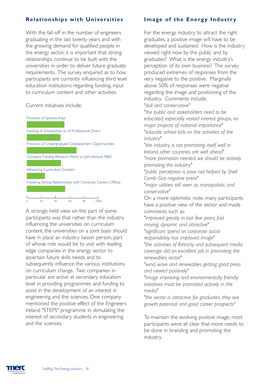# **Relationships with Universities**

With the fall-off in the number of engineers graduating in the last twenty years and with the growing demand for qualified people in the energy sector, it is important that strong relationships continue to be built with the universities in order to deliver future graduate requirements. The survey enquired as to how participants are currently influencing third level education institutions regarding funding, input to curriculum content and other activities.

#### Current initiatives include:

![](_page_17_Figure_3.jpeg)

A strongly held view on the part of some participants was that rather than the industry influencing the universities on curriculum content, the universities on a joint basis should have in place an industry liaison person, part of whose role would be to visit with leading edge companies in the energy sector to ascertain future skills needs and to subsequently influence the various institutions on curriculum change. Two companies in particular are active at secondary education level in providing programmes and funding to assist in the development of an interest in engineering and the sciences. One company mentioned the positive effect of the Engineers Ireland "STEPS" programme in stimulating the interest of secondary students in engineering and the sciences.

# **Image of the Energy Industry**

For the energy industry to attract the right graduates, a positive image will have to be developed and sustained. How is the industry viewed right now by the public and by graduates? What is the energy industry's perception of its own business? The survey produced extremes of responses from the very negative to the positive. Marginally above 50% of responses were negative regarding the image and positioning of the industry. Comments include: *"dull and conservative"*

*"the public and stakeholders need to be educated, especially vested interest groups, on major projects of national importance" "educate school kids on the activities of the industry"*

*"the industry is not promoting itself well in Ireland, other countries are well ahead" "more promotion needed, we should be actively promoting the industry"*

*"public perception is poor, not helped by Shell Corrib Gas negative press"*

*"major utilities still seen as monopolistic and conservative"*

On a more optimistic note, many participants have a positive view of the sector and made comments such as:

*"improved greatly in last few years; fast moving, dynamic and attractive"*

*"significant spend on corporate social responsibility has improved image"*

*"the activities of Airtricity and subsequent media coverage did an excellent job in promoting the renewables sector"*

*"wind, wave and renewables getting good press and viewed positively"*

*"image improving and environmentally friendly initiatives must be promoted actively in the media"*

*"the sector is attractive for graduates, they see growth potential and good career prospects"*

To maintain the evolving positive image, most participants were all clear that more needs to be done in branding and promoting the industry.

![](_page_17_Picture_19.jpeg)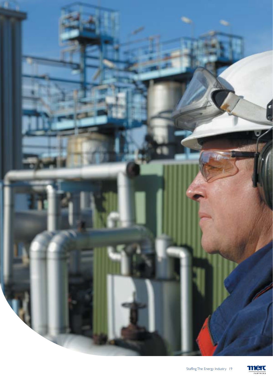![](_page_18_Picture_0.jpeg)

![](_page_18_Picture_2.jpeg)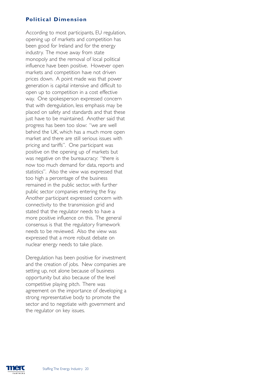# **Political Dimension**

According to most participants, EU regulation, opening up of markets and competition has been good for Ireland and for the energy industry. The move away from state monopoly and the removal of local political influence have been positive. However open markets and competition have not driven prices down. A point made was that power generation is capital intensive and difficult to open up to competition in a cost effective way. One spokesperson expressed concern that with deregulation, less emphasis may be placed on safety and standards and that these just have to be maintained. Another said that progress has been too slow: "we are well behind the UK, which has a much more open market and there are still serious issues with pricing and tariffs". One participant was positive on the opening up of markets but was negative on the bureaucracy: "there is now too much demand for data, reports and statistics". Also the view was expressed that too high a percentage of the business remained in the public sector, with further public sector companies entering the fray. Another participant expressed concern with connectivity to the transmission grid and stated that the regulator needs to have a more positive influence on this. The general consensus is that the regulatory framework needs to be reviewed. Also the view was expressed that a more robust debate on nuclear energy needs to take place.

Deregulation has been positive for investment and the creation of jobs. New companies are setting up, not alone because of business opportunity but also because of the level competitive playing pitch. There was agreement on the importance of developing a strong representative body to promote the sector and to negotiate with government and the regulator on key issues.

![](_page_19_Picture_3.jpeg)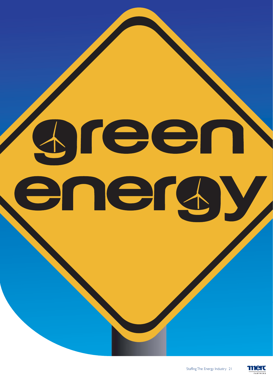![](_page_20_Picture_0.jpeg)

![](_page_20_Picture_2.jpeg)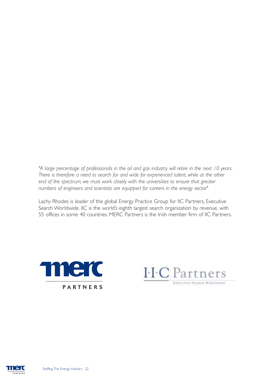*"A large percentage of professionals in the oil and gas industry will retire in the next 10 years. There is therefore a need to search far and wide for experienced talent, while at the other* end of the spectrum, we must work closely with the universities to ensure that greater *numbers of engineers and scientists are equipped for careers in the energy sector"*

Lachy Rhodes is leader of the global Energy Practice Group for IIC Partners, Executive Search Worldwide. IIC is the world's eighth largest search organization by revenue, with 55 offices in some 40 countries. MERC Partners is the Irish member firm of IIC Partners.

![](_page_21_Picture_2.jpeg)

![](_page_21_Picture_3.jpeg)

![](_page_21_Picture_4.jpeg)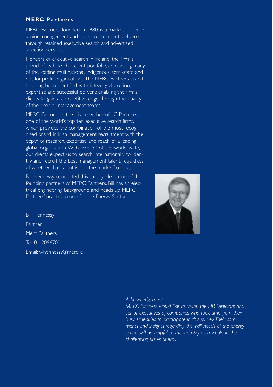# **MERC Partners**

MERC Partners, founded in 1980, is a market leader in senior management and board recruitment, delivered through retained executive search and advertised selection services.

Pioneers of executive search in Ireland, the firm is proud of its blue-chip client portfolio, comprising many of the leading multinational, indigenous, semi-state and not-for-profit organisations.The MERC Partners brand has long been identified with integrity, discretion, expertise and successful delivery, enabling the firm's clients to gain a competitive edge through the quality of their senior management teams.

MERC Partners is the Irish member of IIC Partners, one of the world's top ten executive search firms, which provides the combination of the most recognised brand in Irish management recruitment with the depth of research, expertise and reach of a leading global organisation.With over 50 offices world-wide, our clients expect us to search internationally to identify and recruit the best management talent, regardless of whether that talent is "on the market" or not.

Bill Hennessy conducted this survey. He is one of the founding partners of MERC Partners. Bill has an electrical engineering background and heads up MERC Partners' practice group for the Energy Sector.

Bill Hennessy Partner Merc Partners Tel: 01 2066700 Email: whennessy@merc.ie

![](_page_22_Picture_6.jpeg)

#### *Acknowledgement*

*MERC Partners would like to thank the HR Directors and senior executives of companies who took time from their busy schedules to participate in this survey.Their comments and insights regarding the skill needs of the energy sector will be helpful to the industry as a whole in the challenging times ahead.*